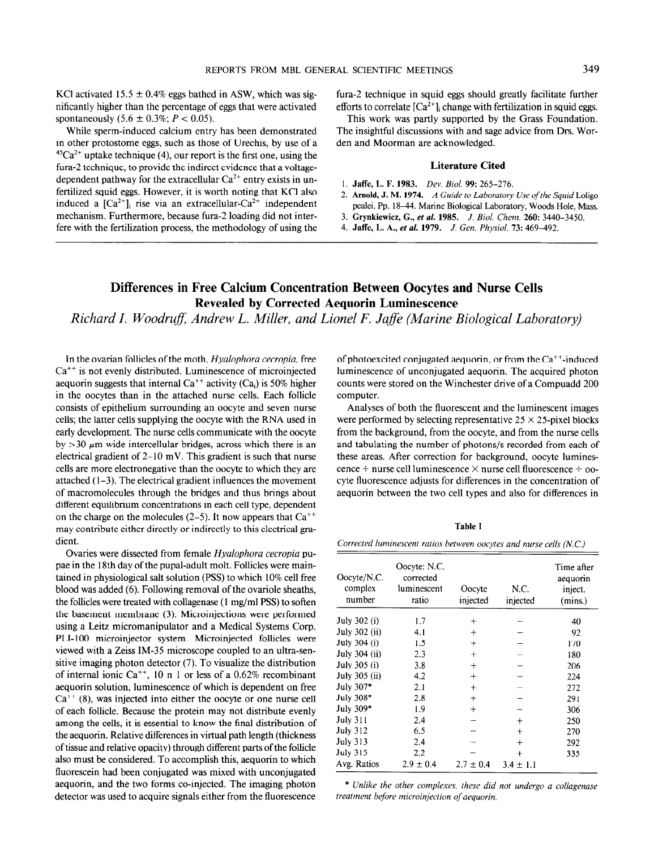KCl activated 15.5  $\pm$  0.4% eggs bathed in ASW, which was significantly higher than the percentage of eggs that were activated spontaneously  $(5.6 \pm 0.3\%; P < 0.05)$ .

While sperm-induced calcium entry has been demonstrated in other protostome eggs, such as those of Urechis, by use of a  $45Ca^{2+}$  uptake technique (4), our report is the first one, using the fura-2 technique, to provide the indirect evidence that a voltagedependent pathway for the extracellular  $Ca^{2+}$  entry exists in unfertilized squid eggs. However, it is worth noting that KC1 also induced a  $[Ca^{2+}]$ ; rise via an extracellular-Ca<sup>2+</sup> independent mechanism. Furthermore, because fura-2 loading did not inter-<br>3. Grynkiewicz, G., et al. 1985. J. Biol. Chem. 260: 3440-3450. fere with the fertilization process, the methodology of using the 4. Jaffe, L. A., et al. 1979. J. Gen. Physiol. 73: 469-492.

fura-2 technique in squid eggs should greatly facilitate further efforts to correlate  $[Ca^{2+}]$ ; change with fertilization in squid eggs.

This work was partly supported by the Grass Foundation. The insightful discussions with and sage advice from Drs. Worden and Moorman are acknowledged.

## Literature Cited

- 1. Jaffe, L. F. 1983. Dev. Biol. 99: 265-276.
- 2. Arnold, J. M. 1974. A Guide to Laboratory Use of the Squid Loligo pealei. Pp. 18-44. Marine Biological Laboratory, Woods Hole, Mass.
- 
- 

## Differences in Free Calcium Concentration Between Oocytes and Nurse Cells Revealed by Corrected Aequorin Luminescence

Richard I. Woodruff, Andrew L. Miller, and Lionel F. Jaffe (Marine Biological Laboratory)

In the ovarian follicles of the moth, Hyalophora cecropia, free  $Ca<sup>++</sup>$  is not evenly distributed. Luminescence of microinjected aequorin suggests that internal  $Ca^{++}$  activity (Ca<sub>i</sub>) is 50% higher in the oocytes than in the attached nurse cells. Each follicle consists of epithelium surrounding an oocyte and seven nurse cells; the latter cells supplying the oocyte with the RNA used in early development. The nurse cells communicate with the oocyte by  $>$ 30  $\mu$ m wide intercellular bridges, across which there is an electrical gradient of  $2-10$  mV. This gradient is such that nurse cells are more electronegative than the oocyte to which they are attached  $(1-3)$ . The electrical gradient influences the movement of macromolecules through the bridges and thus brings about different equilibrium concentrations in each cell type, dependent on the charge on the molecules  $(2-5)$ . It now appears that  $Ca^{++}$ may contribute either directly or indirectly to this electrical gradient.

Ovaries were dissected from female Hyalophora cecropia pupae in the 18th day of the pupal-adult molt. Follicles were maintained in physiological salt solution (PSS) to which 10% cell free blood was added (6). Following removal of the ovariole sheaths, the follicles were treated with collagenase (1 mg/ml PSS) to soften the basement membrane (3). Microinjections were performed using a Leitz micromanipulator and a Medical Systems Corp. PLI- 100 microinjector system. Microinjected follicles were viewed with a Zeiss IM-35 microscope coupled to an ultra-sensitive imaging photon detector (7). To visualize the distribution of internal ionic Ca<sup>++</sup>, 10 n 1 or less of a 0.62% recombinant aequorin solution, luminescence of which is dependent on free  $Ca^{++}$  (8), was injected into either the oocyte or one nurse cell of each follicle. Because the protein may not distribute evenly and the cells, it is essential to know the final distribution of  $\alpha$  and  $\beta$  and  $\beta$  and  $\beta$  and  $\beta$  and  $\beta$  and  $\beta$  and  $\beta$  and  $\beta$  and  $\beta$  and  $\beta$  and  $\beta$  and  $\beta$  and  $\beta$  and  $\beta$  and  $\beta$  and  $\beta$  and  $\beta$ among the cens, it is essential to know the mial distribution of the aequorin. Relative differences in virtual path length (thickness of tissue and relative opacity) through different parts of the follicle also must be considered. To accomplish this, aequorin to which fluorescein had been conjugated was mixed with unconjugated. aequorin, and the two forms co-injected. The imaging photon detector was used to acquire signals either from the fluorescence

of photoexcited conjugated aequorin, or from the  $Ca^{++}$ -induced luminescence of unconjugated aequorin. The acquired photon counts were stored on the Winchester drive of a Compuadd 200 computer.

Analyses of both the fluorescent and the luminescent images were performed by selecting representative  $25 \times 25$ -pixel blocks from the background, from the oocyte, and from the nurse cells and tabulating the number of photons/s recorded from each of these areas. After correction for background, oocyte luminescence  $\div$  nurse cell luminescence  $\times$  nurse cell fluorescence  $\div$  oocyte fluorescence adjusts for differences in the concentration of aequorin between the two cell types and also for differences in

Table I

Corrected luminescent ratios between oocytes and nurse cells (N.C.)

| Oocyte/N.C.<br>complex<br>number | Oocyte: N.C.<br>corrected<br>luminescent<br>ratio | Oocyte<br>injected | N.C.<br>injected | Time after<br>aequorin<br>inject.<br>(mins.) |
|----------------------------------|---------------------------------------------------|--------------------|------------------|----------------------------------------------|
| July 302 (i)                     | 1.7                                               | $\ddot{}$          |                  | 40                                           |
| July 302 (ii)                    | 4.1                                               | $^{+}$             |                  | 92                                           |
| July 304 (i)                     | 1.5                                               | $^{+}$             |                  | 170                                          |
| July 304 (ii)                    | 2.3                                               | $^{+}$             |                  | 180                                          |
| July 305 (i)                     | 3.8                                               | $\pm$              |                  | 206                                          |
| July 305 (ii)                    | 4.2                                               | $^{+}$             |                  | 224                                          |
| July 307*                        | 2.1                                               | $\ddot{}$          |                  | 272                                          |
| July 308*                        | 2.8                                               | $+$                |                  | 291                                          |
| July 309*                        | 1.9                                               | $^{+}$             |                  | 306                                          |
| <b>July 311</b>                  | 2.4                                               |                    | $^{+}$           | 250                                          |
| <b>July 312</b>                  | 6.5                                               |                    | $^{+}$           | 270                                          |
| <b>July 313</b>                  | 2.4                                               |                    | $^{+}$           | 292                                          |
| <b>July 315</b>                  | 2.2                                               |                    | $\pm$            | 335                                          |
| Avg. Ratios                      | $2.9 \pm 0.4$                                     | $2.7 \pm 0.4$      | $3.4 \pm 1.1$    |                                              |

\* Unlike the other complexes, these did not undergo a collagenase